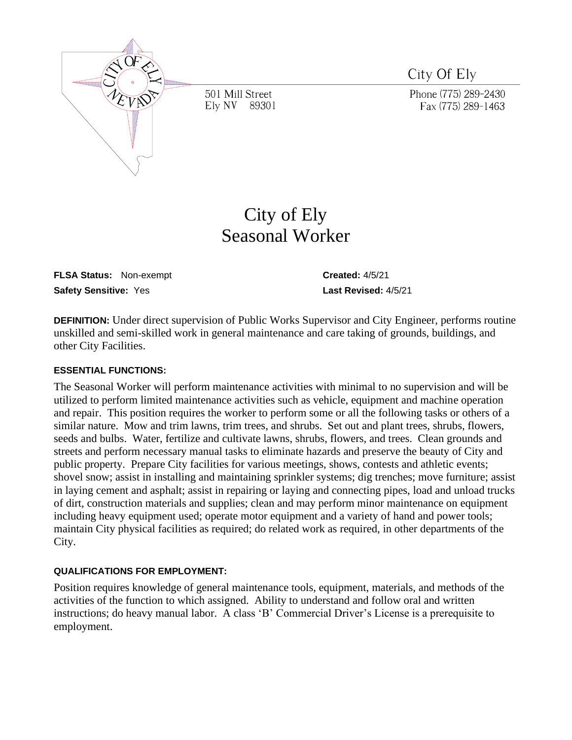

501 Mill Street Elv NV 89301 City Of Ely

Phone (775) 289-2430 Fax (775) 289-1463

# City of Ely Seasonal Worker

**FLSA Status:** Non-exempt **CREATE: Created:** 4/5/21 **Safety Sensitive:** Yes **Last Revised:** 4/5/21

**DEFINITION:** Under direct supervision of Public Works Supervisor and City Engineer, performs routine unskilled and semi-skilled work in general maintenance and care taking of grounds, buildings, and other City Facilities.

## **ESSENTIAL FUNCTIONS:**

The Seasonal Worker will perform maintenance activities with minimal to no supervision and will be utilized to perform limited maintenance activities such as vehicle, equipment and machine operation and repair. This position requires the worker to perform some or all the following tasks or others of a similar nature. Mow and trim lawns, trim trees, and shrubs. Set out and plant trees, shrubs, flowers, seeds and bulbs. Water, fertilize and cultivate lawns, shrubs, flowers, and trees. Clean grounds and streets and perform necessary manual tasks to eliminate hazards and preserve the beauty of City and public property. Prepare City facilities for various meetings, shows, contests and athletic events; shovel snow; assist in installing and maintaining sprinkler systems; dig trenches; move furniture; assist in laying cement and asphalt; assist in repairing or laying and connecting pipes, load and unload trucks of dirt, construction materials and supplies; clean and may perform minor maintenance on equipment including heavy equipment used; operate motor equipment and a variety of hand and power tools; maintain City physical facilities as required; do related work as required, in other departments of the City.

## **QUALIFICATIONS FOR EMPLOYMENT:**

Position requires knowledge of general maintenance tools, equipment, materials, and methods of the activities of the function to which assigned. Ability to understand and follow oral and written instructions; do heavy manual labor. A class 'B' Commercial Driver's License is a prerequisite to employment.